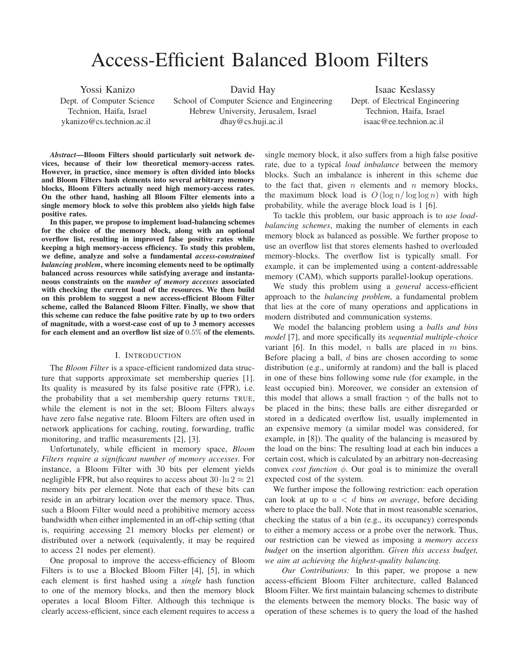# Access-Efficient Balanced Bloom Filters

Yossi Kanizo Dept. of Computer Science Technion, Haifa, Israel ykanizo@cs.technion.ac.il

David Hay

School of Computer Science and Engineering Hebrew University, Jerusalem, Israel dhay@cs.huji.ac.il

Isaac Keslassy Dept. of Electrical Engineering Technion, Haifa, Israel isaac@ee.technion.ac.il

*Abstract***—Bloom Filters should particularly suit network devices, because of their low theoretical memory-access rates. However, in practice, since memory is often divided into blocks and Bloom Filters hash elements into several arbitrary memory blocks, Bloom Filters actually need high memory-access rates. On the other hand, hashing all Bloom Filter elements into a single memory block to solve this problem also yields high false positive rates.**

**In this paper, we propose to implement load-balancing schemes for the choice of the memory block, along with an optional overflow list, resulting in improved false positive rates while keeping a high memory-access efficiency. To study this problem, we define, analyze and solve a fundamental** *access-constrained balancing problem***, where incoming elements need to be optimally balanced across resources while satisfying average and instantaneous constraints on the** *number of memory accesses* **associated with checking the current load of the resources. We then build on this problem to suggest a new access-efficient Bloom Filter scheme, called the Balanced Bloom Filter. Finally, we show that this scheme can reduce the false positive rate by up to two orders of magnitude, with a worst-case cost of up to 3 memory accesses for each element and an overflow list size of** 0.5% **of the elements.**

## I. INTRODUCTION

The *Bloom Filter* is a space-efficient randomized data structure that supports approximate set membership queries [1]. Its quality is measured by its false positive rate (FPR), i.e. the probability that a set membership query returns TRUE, while the element is not in the set; Bloom Filters always have zero false negative rate. Bloom Filters are often used in network applications for caching, routing, forwarding, traffic monitoring, and traffic measurements [2], [3].

Unfortunately, while efficient in memory space, *Bloom Filters require a significant number of memory accesses*. For instance, a Bloom Filter with 30 bits per element yields negligible FPR, but also requires to access about  $30 \cdot \ln 2 \approx 21$ memory bits per element. Note that each of these bits can reside in an arbitrary location over the memory space. Thus, such a Bloom Filter would need a prohibitive memory access bandwidth when either implemented in an off-chip setting (that is, requiring accessing 21 memory blocks per element) or distributed over a network (equivalently, it may be required to access 21 nodes per element).

One proposal to improve the access-efficiency of Bloom Filters is to use a Blocked Bloom Filter [4], [5], in which each element is first hashed using a *single* hash function to one of the memory blocks, and then the memory block operates a local Bloom Filter. Although this technique is clearly access-efficient, since each element requires to access a single memory block, it also suffers from a high false positive rate, due to a typical *load imbalance* between the memory blocks. Such an imbalance is inherent in this scheme due to the fact that, given  $n$  elements and  $n$  memory blocks, the maximum block load is  $O(\log n / \log \log n)$  with high probability, while the average block load is 1 [6].

To tackle this problem, our basic approach is to *use loadbalancing schemes*, making the number of elements in each memory block as balanced as possible. We further propose to use an overflow list that stores elements hashed to overloaded memory-blocks. The overflow list is typically small. For example, it can be implemented using a content-addressable memory (CAM), which supports parallel-lookup operations.

We study this problem using a *general* access-efficient approach to the *balancing problem*, a fundamental problem that lies at the core of many operations and applications in modern distributed and communication systems.

We model the balancing problem using a *balls and bins model* [7], and more specifically its *sequential multiple-choice* variant [6]. In this model, n balls are placed in  $m$  bins. Before placing a ball,  $d$  bins are chosen according to some distribution (e.g., uniformly at random) and the ball is placed in one of these bins following some rule (for example, in the least occupied bin). Moreover, we consider an extension of this model that allows a small fraction  $\gamma$  of the balls not to be placed in the bins; these balls are either disregarded or stored in a dedicated overflow list, usually implemented in an expensive memory (a similar model was considered, for example, in [8]). The quality of the balancing is measured by the load on the bins: The resulting load at each bin induces a certain cost, which is calculated by an arbitrary non-decreasing convex *cost function*  $\phi$ . Our goal is to minimize the overall expected cost of the system.

We further impose the following restriction: each operation can look at up to a < d bins *on average*, before deciding where to place the ball. Note that in most reasonable scenarios, checking the status of a bin (e.g., its occupancy) corresponds to either a memory access or a probe over the network. Thus, our restriction can be viewed as imposing a *memory access budget* on the insertion algorithm. *Given this access budget, we aim at achieving the highest-quality balancing.*

*Our Contributions:* In this paper, we propose a new access-efficient Bloom Filter architecture, called Balanced Bloom Filter. We first maintain balancing schemes to distribute the elements between the memory blocks. The basic way of operation of these schemes is to query the load of the hashed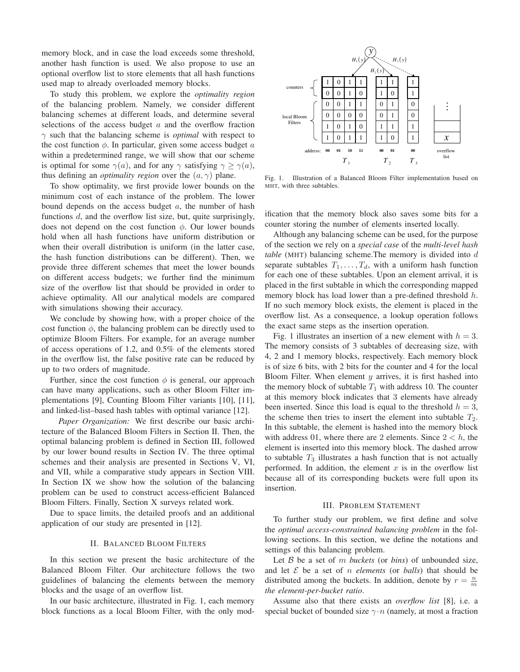memory block, and in case the load exceeds some threshold, another hash function is used. We also propose to use an optional overflow list to store elements that all hash functions used map to already overloaded memory blocks.

To study this problem, we explore the *optimality region* of the balancing problem. Namely, we consider different balancing schemes at different loads, and determine several selections of the access budget  $a$  and the overflow fraction γ such that the balancing scheme is *optimal* with respect to the cost function  $\phi$ . In particular, given some access budget a within a predetermined range, we will show that our scheme is optimal for some  $\gamma(a)$ , and for any  $\gamma$  satisfying  $\gamma > \gamma(a)$ , thus defining an *optimality region* over the  $(a, \gamma)$  plane.

To show optimality, we first provide lower bounds on the minimum cost of each instance of the problem. The lower bound depends on the access budget  $a$ , the number of hash functions  $d$ , and the overflow list size, but, quite surprisingly, does not depend on the cost function  $\phi$ . Our lower bounds hold when all hash functions have uniform distribution or when their overall distribution is uniform (in the latter case, the hash function distributions can be different). Then, we provide three different schemes that meet the lower bounds on different access budgets; we further find the minimum size of the overflow list that should be provided in order to achieve optimality. All our analytical models are compared with simulations showing their accuracy.

We conclude by showing how, with a proper choice of the cost function  $\phi$ , the balancing problem can be directly used to optimize Bloom Filters. For example, for an average number of access operations of 1.2, and 0.5% of the elements stored in the overflow list, the false positive rate can be reduced by up to two orders of magnitude.

Further, since the cost function  $\phi$  is general, our approach can have many applications, such as other Bloom Filter implementations [9], Counting Bloom Filter variants [10], [11], and linked-list–based hash tables with optimal variance [12].

*Paper Organization:* We first describe our basic architecture of the Balanced Bloom Filters in Section II. Then, the optimal balancing problem is defined in Section III, followed by our lower bound results in Section IV. The three optimal schemes and their analysis are presented in Sections V, VI, and VII, while a comparative study appears in Section VIII. In Section IX we show how the solution of the balancing problem can be used to construct access-efficient Balanced Bloom Filters. Finally, Section X surveys related work.

Due to space limits, the detailed proofs and an additional application of our study are presented in [12].

## II. BALANCED BLOOM FILTERS

In this section we present the basic architecture of the Balanced Bloom Filter. Our architecture follows the two guidelines of balancing the elements between the memory blocks and the usage of an overflow list.

In our basic architecture, illustrated in Fig. 1, each memory block functions as a local Bloom Filter, with the only mod-



Fig. 1. Illustration of a Balanced Bloom Filter implementation based on MHT, with three subtables.

ification that the memory block also saves some bits for a counter storing the number of elements inserted locally.

Although any balancing scheme can be used, for the purpose of the section we rely on a *special case* of the *multi-level hash table* (MHT) balancing scheme.The memory is divided into d separate subtables  $T_1, \ldots, T_d$ , with a uniform hash function for each one of these subtables. Upon an element arrival, it is placed in the first subtable in which the corresponding mapped memory block has load lower than a pre-defined threshold h. If no such memory block exists, the element is placed in the overflow list. As a consequence, a lookup operation follows the exact same steps as the insertion operation.

Fig. 1 illustrates an insertion of a new element with  $h = 3$ . The memory consists of 3 subtables of decreasing size, with 4, 2 and 1 memory blocks, respectively. Each memory block is of size 6 bits, with 2 bits for the counter and 4 for the local Bloom Filter. When element  $y$  arrives, it is first hashed into the memory block of subtable  $T_1$  with address 10. The counter at this memory block indicates that 3 elements have already been inserted. Since this load is equal to the threshold  $h = 3$ , the scheme then tries to insert the element into subtable  $T_2$ . In this subtable, the element is hashed into the memory block with address 01, where there are 2 elements. Since  $2 < h$ , the element is inserted into this memory block. The dashed arrow to subtable  $T_3$  illustrates a hash function that is not actually performed. In addition, the element  $x$  is in the overflow list because all of its corresponding buckets were full upon its insertion.

#### III. PROBLEM STATEMENT

To further study our problem, we first define and solve the *optimal access-constrained balancing problem* in the following sections. In this section, we define the notations and settings of this balancing problem.

Let B be a set of m *buckets* (or *bins*) of unbounded size, and let  $\mathcal E$  be a set of *n elements* (or *balls*) that should be distributed among the buckets. In addition, denote by  $r = \frac{n}{m}$ *the element-per-bucket ratio*.

Assume also that there exists an *overflow list* [8], i.e. a special bucket of bounded size  $\gamma \cdot n$  (namely, at most a fraction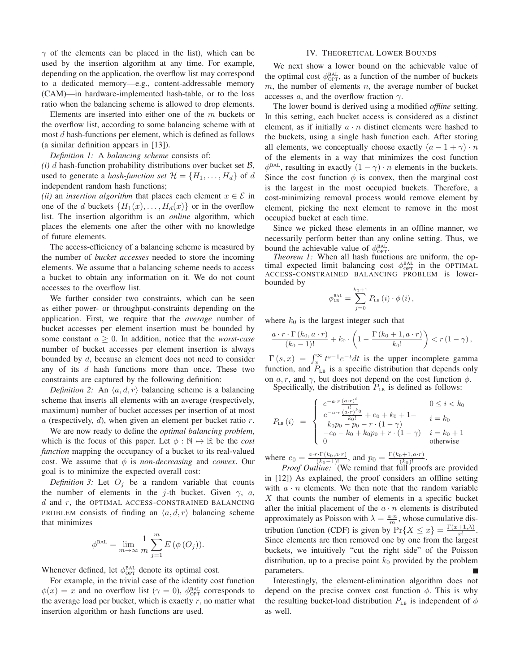$\gamma$  of the elements can be placed in the list), which can be used by the insertion algorithm at any time. For example, depending on the application, the overflow list may correspond to a dedicated memory—e.g., content-addressable memory (CAM)—in hardware-implemented hash-table, or to the loss ratio when the balancing scheme is allowed to drop elements.

Elements are inserted into either one of the m buckets or the overflow list, according to some balancing scheme with at most d hash-functions per element, which is defined as follows (a similar definition appears in [13]).

*Definition 1:* A *balancing scheme* consists of:

*(i)* d hash-function probability distributions over bucket set  $\beta$ , used to generate a *hash-function set*  $\mathcal{H} = \{H_1, \ldots, H_d\}$  of d independent random hash functions;

*(ii)* an *insertion algorithm* that places each element  $x \in \mathcal{E}$  in one of the d buckets  $\{H_1(x), \ldots, H_d(x)\}\$  or in the overflow list. The insertion algorithm is an *online* algorithm, which places the elements one after the other with no knowledge of future elements.

The access-efficiency of a balancing scheme is measured by the number of *bucket accesses* needed to store the incoming elements. We assume that a balancing scheme needs to access a bucket to obtain any information on it. We do not count accesses to the overflow list.

We further consider two constraints, which can be seen as either power- or throughput-constraints depending on the application. First, we require that the *average* number of bucket accesses per element insertion must be bounded by some constant  $a \geq 0$ . In addition, notice that the *worst-case* number of bucket accesses per element insertion is always bounded by d, because an element does not need to consider any of its d hash functions more than once. These two constraints are captured by the following definition:

*Definition 2:* An  $\langle a, d, r \rangle$  balancing scheme is a balancing scheme that inserts all elements with an average (respectively, maximum) number of bucket accesses per insertion of at most  $a$  (respectively,  $d$ ), when given an element per bucket ratio  $r$ .

We are now ready to define the *optimal balancing problem*, which is the focus of this paper. Let  $\phi : \mathbb{N} \to \mathbb{R}$  be the *cost function* mapping the occupancy of a bucket to its real-valued cost. We assume that  $\phi$  is *non-decreasing* and *convex*. Our goal is to minimize the expected overall cost:

*Definition 3:* Let  $O_j$  be a random variable that counts the number of elements in the j-th bucket. Given  $\gamma$ , a,  $d$  and  $r$ , the OPTIMAL ACCESS-CONSTRAINED BALANCING PROBLEM consists of finding an  $\langle a, d, r \rangle$  balancing scheme that minimizes

$$
\phi^{\text{BAL}} = \lim_{m \to \infty} \frac{1}{m} \sum_{j=1}^{m} E(\phi(O_j)).
$$

Whenever defined, let  $\phi_{\text{OPT}}^{\text{BAL}}$  denote its optimal cost.

For example, in the trivial case of the identity cost function  $\phi(x) = x$  and no overflow list ( $\gamma = 0$ ),  $\phi_{\text{OPT}}^{\text{BAL}}$  corresponds to the average load per bucket, which is exactly  $r$ , no matter what insertion algorithm or hash functions are used.

## IV. THEORETICAL LOWER BOUNDS

We next show a lower bound on the achievable value of the optimal cost  $\phi_{\text{OPT}}^{\text{BAL}}$ , as a function of the number of buckets  $m$ , the number of elements  $n$ , the average number of bucket accesses a, and the overflow fraction  $\gamma$ .

The lower bound is derived using a modified *offline* setting. In this setting, each bucket access is considered as a distinct element, as if initially  $a \cdot n$  distinct elements were hashed to the buckets, using a single hash function each. After storing all elements, we conceptually choose exactly  $(a - 1 + \gamma) \cdot n$ of the elements in a way that minimizes the cost function  $\phi^{\text{BAL}}$ , resulting in exactly  $(1 - \gamma) \cdot n$  elements in the buckets. Since the cost function  $\phi$  is convex, then the marginal cost is the largest in the most occupied buckets. Therefore, a cost-minimizing removal process would remove element by element, picking the next element to remove in the most occupied bucket at each time.

Since we picked these elements in an offline manner, we necessarily perform better than any online setting. Thus, we bound the achievable value of  $\phi_{\text{OPT}}^{\text{BAL}}$ .

*Theorem 1:* When all hash functions are uniform, the optimal expected limit balancing cost  $\phi_{\text{OPT}}^{\text{BAL}}$  in the OPTIMAL ACCESS-CONSTRAINED BALANCING PROBLEM is lowerbounded by

$$
\phi_{\text{LB}}^{\text{BAL}} = \sum_{j=0}^{k_0+1} P_{\text{LB}}(i) \cdot \phi(i),
$$

where  $k_0$  is the largest integer such that

$$
\frac{a \cdot r \cdot \Gamma(k_0, a \cdot r)}{(k_0 - 1)!} + k_0 \cdot \left(1 - \frac{\Gamma(k_0 + 1, a \cdot r)}{k_0!}\right) < r\left(1 - \gamma\right),
$$

 $\Gamma(s,x) = \int_x^{\infty} t^{s-1} e^{-t} dt$  is the upper incomplete gamma function, and  $P_{\text{LB}}$  is a specific distribution that depends only on  $a, r$ , and  $\gamma$ , but does not depend on the cost function  $\phi$ . Specifically, the distribution  $P_{\text{LB}}$  is defined as follows:

$$
P_{\text{LB}}\left(i\right) \ = \ \left\{ \begin{array}{ll} e^{-a\cdot r} \frac{\left(a\cdot r\right)^i}{i!} & \quad 0\leq i < k_0 \\ e^{-a\cdot r} \frac{\left(a\cdot r\right)^{k_0}}{k_0!} + e_0 + k_0 + 1 - & \quad i = k_0 \\ k_0 p_0 - p_0 - r\cdot\left(1-\gamma\right) & \quad i = k_0 + 1 \\ -e_0 - k_0 + k_0 p_0 + r\cdot\left(1-\gamma\right) & \quad i = k_0 + 1 \\ 0 & \quad \text{otherwise} \end{array} \right.
$$

where  $e_0 = \frac{a \cdot r \cdot \Gamma(k_0, a \cdot r)}{(k_0 - 1)!}$ , and  $p_0 = \frac{\Gamma(k_0 + 1, a \cdot r)}{(k_0)!}$ .

*Proof Outline:* (We remind that full proofs are provided in [12]) As explained, the proof considers an offline setting with  $a \cdot n$  elements. We then note that the random variable  $X$  that counts the number of elements in a specific bucket after the initial placement of the  $a \cdot n$  elements is distributed approximately as Poisson with  $\lambda = \frac{a \cdot n}{m}$ , whose cumulative distribution function (CDF) is given by  $Pr\{X \leq x\} = \frac{\Gamma(x+1,\lambda)}{x!}$  $\frac{+1, \lambda)}{x!}$ . Since elements are then removed one by one from the largest buckets, we intuitively "cut the right side" of the Poisson distribution, up to a precise point  $k_0$  provided by the problem parameters.

Interestingly, the element-elimination algorithm does not depend on the precise convex cost function  $\phi$ . This is why the resulting bucket-load distribution  $P_{\text{LB}}$  is independent of  $\phi$ as well.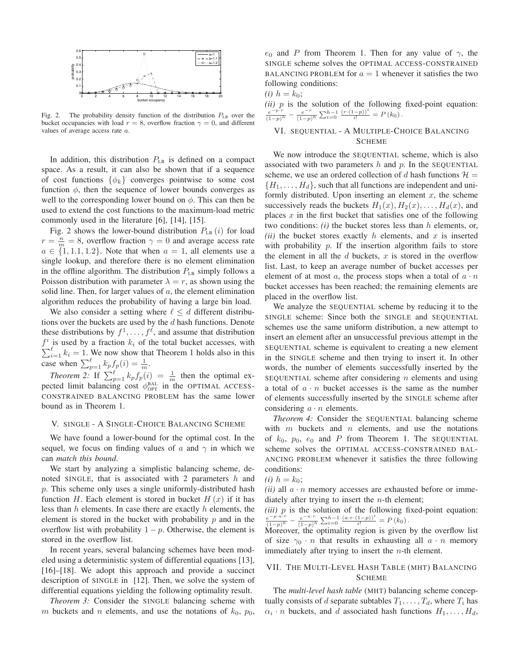

Fig. 2. The probability density function of the distribution  $P_{LB}$  over the bucket occupancies with load  $r = 8$ , overflow fraction  $\gamma = 0$ , and different values of average access rate a.

In addition, this distribution  $P_{\text{LB}}$  is defined on a compact space. As a result, it can also be shown that if a sequence of cost functions  $\{\phi_k\}$  converges pointwise to some cost function  $\phi$ , then the sequence of lower bounds converges as well to the corresponding lower bound on  $\phi$ . This can then be used to extend the cost functions to the maximum-load metric commonly used in the literature [6], [14], [15].

Fig. 2 shows the lower-bound distribution  $P_{LB}$  (i) for load  $r = \frac{n}{m} = 8$ , overflow fraction  $\gamma = 0$  and average access rate  $a \in \{1, 1.1, 1.2\}$ . Note that when  $a = 1$ , all elements use a single lookup, and therefore there is no element elimination in the offline algorithm. The distribution  $P_{LB}$  simply follows a Poisson distribution with parameter  $\lambda = r$ , as shown using the solid line. Then, for larger values of  $a$ , the element elimination algorithm reduces the probability of having a large bin load.

We also consider a setting where  $\ell \leq d$  different distributions over the buckets are used by the  $d$  hash functions. Denote these distributions by  $f^1, \ldots, f^{\ell}$ , and assume that distribution  $f^i$  is used by a fraction  $k_i$  of the total bucket accesses, with  $\sum_{i=1}^{\ell} k_i = 1$ . We now show that Theorem 1 holds also in this case when  $\sum_{p=1}^{\ell} k_p f_p(i) = \frac{1}{m}$ .

*Theorem 2:* If  $\sum_{p=1}^{\ell} k_p f_p(i) = \frac{1}{m}$  then the optimal expected limit balancing cost  $\phi_{\text{OPT}}^{\text{BAL}}$  in the OPTIMAL ACCESS-CONSTRAINED BALANCING PROBLEM has the same lower bound as in Theorem 1.

## V. SINGLE - A SINGLE-CHOICE BALANCING SCHEME

We have found a lower-bound for the optimal cost. In the sequel, we focus on finding values of a and  $\gamma$  in which we can *match this bound*.

We start by analyzing a simplistic balancing scheme, denoted SINGLE, that is associated with 2 parameters  $h$  and  $p$ . This scheme only uses a single uniformly-distributed hash function H. Each element is stored in bucket  $H(x)$  if it has less than  $h$  elements. In case there are exactly  $h$  elements, the element is stored in the bucket with probability  $p$  and in the overflow list with probability  $1 - p$ . Otherwise, the element is stored in the overflow list.

In recent years, several balancing schemes have been modeled using a deterministic system of differential equations [13], [16]–[18]. We adopt this approach and provide a succinct description of SINGLE in [12]. Then, we solve the system of differential equations yielding the following optimality result.

*Theorem 3:* Consider the SINGLE balancing scheme with m buckets and n elements, and use the notations of  $k_0$ ,  $p_0$ ,

 $e_0$  and P from Theorem 1. Then for any value of  $\gamma$ , the SINGLE scheme solves the OPTIMAL ACCESS-CONSTRAINED BALANCING PROBLEM for  $a = 1$  whenever it satisfies the two following conditions:

## *(i)*  $h = k_0$ ;

(*ii*) p is the solution of the following fixed-point equation:<br>  $\frac{e^{-p\cdot r}}{(1-p)^h} - \frac{e^{-r}}{(1-p)^h} \sum_{i=0}^{h-1} \frac{(r\cdot(1-p))^i}{i!} = P(k_0)$ .

# VI. SEQUENTIAL - A MULTIPLE-CHOICE BALANCING SCHEME

We now introduce the SEQUENTIAL scheme, which is also associated with two parameters h and p. In the SEQUENTIAL scheme, we use an ordered collection of d hash functions  $\mathcal{H} =$  $\{H_1, \ldots, H_d\}$ , such that all functions are independent and uniformly distributed. Upon inserting an element  $x$ , the scheme successively reads the buckets  $H_1(x)$ ,  $H_2(x)$ , ...,  $H_d(x)$ , and places  $x$  in the first bucket that satisfies one of the following two conditions:  $(i)$  the bucket stores less than  $h$  elements, or, *(ii)* the bucket stores exactly h elements, and x is inserted with probability  $p$ . If the insertion algorithm fails to store the element in all the  $d$  buckets,  $x$  is stored in the overflow list. Last, to keep an average number of bucket accesses per element of at most a, the process stops when a total of  $a \cdot n$ bucket accesses has been reached; the remaining elements are placed in the overflow list.

We analyze the SEQUENTIAL scheme by reducing it to the SINGLE scheme: Since both the SINGLE and SEQUENTIAL schemes use the same uniform distribution, a new attempt to insert an element after an unsuccessful previous attempt in the SEQUENTIAL scheme is equivalent to creating a new element in the SINGLE scheme and then trying to insert it. In other words, the number of elements successfully inserted by the SEQUENTIAL scheme after considering  $n$  elements and using a total of  $a \cdot n$  bucket accesses is the same as the number of elements successfully inserted by the SINGLE scheme after considering  $a \cdot n$  elements.

*Theorem 4:* Consider the SEQUENTIAL balancing scheme with  $m$  buckets and  $n$  elements, and use the notations of  $k_0$ ,  $p_0$ ,  $e_0$  and P from Theorem 1. The SEQUENTIAL scheme solves the OPTIMAL ACCESS-CONSTRAINED BAL-ANCING PROBLEM whenever it satisfies the three following conditions:

$$
(i) h = k_0;
$$

*(ii)* all  $a \cdot n$  memory accesses are exhausted before or immediately after trying to insert the  $n$ -th element;

*(iii)* p is the solution of the following fixed-point equation:  $\frac{e^{-p\cdot a\cdot r}}{(1-p)^h} - \frac{e^{-a\cdot r}}{(1-p)^h} \sum_{i=0}^{h-1} \frac{(a\cdot r\cdot (1-p))^i}{i!} = P(k_0).$ 

Moreover, the optimality region is given by the overflow list of size  $\gamma_0 \cdot n$  that results in exhausting all  $a \cdot n$  memory immediately after trying to insert the  $n$ -th element.

## VII. THE MULTI-LEVEL HASH TABLE (MHT) BALANCING **SCHEME**

The *multi-level hash table* (MHT) balancing scheme conceptually consists of d separate subtables  $T_1, \ldots, T_d$ , where  $T_i$  has  $\alpha_i \cdot n$  buckets, and d associated hash functions  $H_1, \ldots, H_d$ ,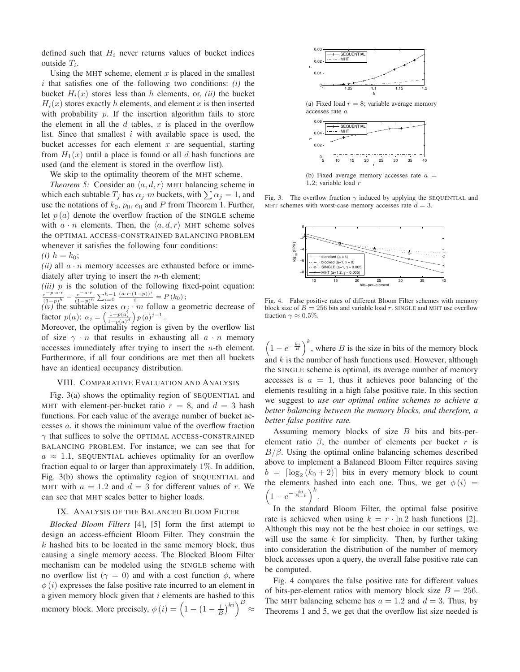defined such that  $H_i$  never returns values of bucket indices outside  $T_i$ .

Using the MHT scheme, element  $x$  is placed in the smallest i that satisfies one of the following two conditions: *(i)* the bucket  $H_i(x)$  stores less than h elements, or, *(ii)* the bucket  $H_i(x)$  stores exactly h elements, and element x is then inserted with probability  $p$ . If the insertion algorithm fails to store the element in all the  $d$  tables,  $x$  is placed in the overflow list. Since that smallest  $i$  with available space is used, the bucket accesses for each element  $x$  are sequential, starting from  $H_1(x)$  until a place is found or all d hash functions are used (and the element is stored in the overflow list).

We skip to the optimality theorem of the MHT scheme.

*Theorem 5:* Consider an  $\langle a, d, r \rangle$  MHT balancing scheme in which each subtable  $T_j$  has  $\alpha_j \cdot m$  buckets, with  $\sum \alpha_j = 1$ , and use the notations of  $k_0$ ,  $p_0$ ,  $e_0$  and P from Theorem 1. Further, let  $p(a)$  denote the overflow fraction of the SINGLE scheme with  $a \cdot n$  elements. Then, the  $\langle a, d, r \rangle$  MHT scheme solves the OPTIMAL ACCESS-CONSTRAINED BALANCING PROBLEM whenever it satisfies the following four conditions: *(i)*  $h = k_0$ ;

*(ii)* all  $a \cdot n$  memory accesses are exhausted before or immediately after trying to insert the  $n$ -th element;

*(iii)* p is the solution of the following fixed-point equation:  $\frac{e^{-p\cdot a\cdot r}}{(1-p)^h} - \frac{e^{-a\cdot r}}{(1-p)^h} \sum_{i=0}^{h-1} \frac{(a\cdot r\cdot (1-p))^i}{i!} = P(k_0);$ 

 $(iv)$  the subtable sizes  $\alpha_i \cdot m$  follow a geometric decrease of factor  $p(a)$ :  $\alpha_j = \left(\frac{1-p(a)}{1-p(a)}\right)$  $\frac{1-p(a)}{1-p(a)^d}$   $p(a)^{j-1}$ .

Moreover, the optimality region is given by the overflow list of size  $\gamma \cdot n$  that results in exhausting all  $a \cdot n$  memory accesses immediately after trying to insert the n-th element. Furthermore, if all four conditions are met then all buckets have an identical occupancy distribution.

## VIII. COMPARATIVE EVALUATION AND ANALYSIS

Fig. 3(a) shows the optimality region of SEQUENTIAL and MHT with element-per-bucket ratio  $r = 8$ , and  $d = 3$  hash functions. For each value of the average number of bucket accesses a, it shows the minimum value of the overflow fraction  $\gamma$  that suffices to solve the OPTIMAL ACCESS-CONSTRAINED BALANCING PROBLEM. For instance, we can see that for  $a \approx 1.1$ , SEQUENTIAL achieves optimality for an overflow fraction equal to or larger than approximately  $1\%$ . In addition, Fig. 3(b) shows the optimality region of SEQUENTIAL and MHT with  $a = 1.2$  and  $d = 3$  for different values of r. We can see that MHT scales better to higher loads.

## IX. ANALYSIS OF THE BALANCED BLOOM FILTER

*Blocked Bloom Filters* [4], [5] form the first attempt to design an access-efficient Bloom Filter. They constrain the  $k$  hashed bits to be located in the same memory block, thus causing a single memory access. The Blocked Bloom Filter mechanism can be modeled using the SINGLE scheme with no overflow list ( $\gamma = 0$ ) and with a cost function  $\phi$ , where  $\phi(i)$  expresses the false positive rate incurred to an element in a given memory block given that  $i$  elements are hashed to this memory block. More precisely,  $\phi(i) = \left(1 - \left(1 - \frac{1}{B}\right)^{ki}\right)^B \approx$ 



(a) Fixed load  $r = 8$ ; variable average memory accesses rate a



(b) Fixed average memory accesses rate  $a =$ 1.2; variable load r

Fig. 3. The overflow fraction  $\gamma$  induced by applying the SEQUENTIAL and MHT schemes with worst-case memory accesses rate  $d = 3$ .



Fig. 4. False positive rates of different Bloom Filter schemes with memory block size of  $B = 256$  bits and variable load r. SINGLE and MHT use overflow fraction  $\gamma \approx 0.5\%.$ 

 $\left(1 - e^{-\frac{ki}{B}}\right)^k$ , where B is the size in bits of the memory block and  $k$  is the number of hash functions used. However, although the SINGLE scheme is optimal, its average number of memory accesses is  $a = 1$ , thus it achieves poor balancing of the elements resulting in a high false positive rate. In this section we suggest to *use our optimal online schemes to achieve a better balancing between the memory blocks, and therefore, a better false positive rate.*

Assuming memory blocks of size B bits and bits-perelement ratio  $\beta$ , the number of elements per bucket r is  $B/\beta$ . Using the optimal online balancing schemes described above to implement a Balanced Bloom Filter requires saving  $b = \lceil \log_2(k_0 + 2) \rceil$  bits in every memory block to count the elements hashed into each one. Thus, we get  $\phi(i)$  =  $\left(1-e^{-\frac{ki}{B-b}}\right)^k$ .

In the standard Bloom Filter, the optimal false positive rate is achieved when using  $k = r \cdot \ln 2$  hash functions [2]. Although this may not be the best choice in our settings, we will use the same  $k$  for simplicity. Then, by further taking into consideration the distribution of the number of memory block accesses upon a query, the overall false positive rate can be computed.

Fig. 4 compares the false positive rate for different values of bits-per-element ratios with memory block size  $B = 256$ . The MHT balancing scheme has  $a = 1.2$  and  $d = 3$ . Thus, by Theorems 1 and 5, we get that the overflow list size needed is